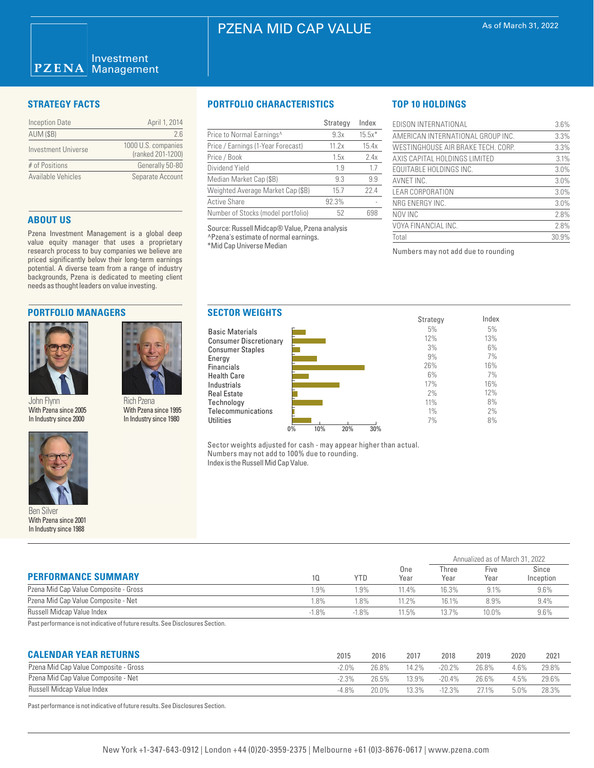# PZENA MID CAP VALUE

### Investment **PZENA** Management

| <b>Inception Date</b> | April 1, 2014                            |
|-----------------------|------------------------------------------|
| <b>AUM (\$B)</b>      | 2 G                                      |
| Investment Universe   | 1000 U.S. companies<br>(ranked 201-1200) |
| # of Positions        | Generally 50-80                          |
| Available Vehicles    | Separate Account                         |

### **ABOUT US**

Pzena Investment Management is a global deep value equity manager that uses a proprietary research process to buy companies we believe are priced significantly below their long-term earnings potential. A diverse team from a range of industry backgrounds, Pzena is dedicated to meeting client needs as thought leaders on value investing.

## **PORTFOLIO MANAGERS**



John Flynn With Pzena since 2005 In Industry since 2000



Ben Silver With Pzena since 2001 In Industry since 1988

# **STRATEGY FACTS PORTFOLIO CHARACTERISTICS**

|                                       | Strategy | Index    |
|---------------------------------------|----------|----------|
| Price to Normal Earnings <sup>^</sup> | 9.3x     | $15.5x*$ |
| Price / Earnings (1-Year Forecast)    | 11.2x    | 15.4x    |
| Price / Book                          | 1.5x     | 2.4x     |
| Dividend Yield                        | 19       | 1.7      |
| Median Market Cap (\$B)               | 9.3      | 9.9      |
| Weighted Average Market Cap (\$B)     | 15.7     | 22.4     |
| <b>Active Share</b>                   | 92.3%    |          |
| Number of Stocks (model portfolio)    | 52       | 698      |

Source: Russell Midcap® Value, Pzena analysis ^Pzena's estimate of normal earnings. \*Mid Cap Universe Median

Energy

**Utilities** 

# **TOP 10 HOLDINGS**

| EDISON INTERNATIONAL               | 3.6%  |
|------------------------------------|-------|
| AMERICAN INTERNATIONAL GROUP INC.  | 3.3%  |
| WESTINGHOUSE AIR BRAKE TECH. CORP. | 3.3%  |
| AXIS CAPITAL HOLDINGS LIMITED      | 3.1%  |
| <b>EQUITABLE HOLDINGS INC.</b>     | 3.0%  |
| AVNET INC.                         | 3.0%  |
| LEAR CORPORATION                   | 3.0%  |
| NRG ENERGY INC.                    | 3.0%  |
| NOV INC                            | 2.8%  |
| VOYA FINANCIAL INC.                | 2.8%  |
| Total                              | 30.9% |

Annualized as of March 31, 2022

Numbers may not add due to rounding



Sector weights adjusted for cash - may appear higher than actual. Numbers may not add to 100% due to rounding. Index is the Russell Mid Cap Value.

| <b>PERFORMANCE SUMMARY</b>            |         | <b>YTD</b> | One<br>Year | Three<br>Year | Five<br>Year | Since<br>Inception |  |
|---------------------------------------|---------|------------|-------------|---------------|--------------|--------------------|--|
| Pzena Mid Cap Value Composite - Gross | 1.9%    | $.9\%$     | $11.4\%$    | 16.3%         | 9.1%         | 9.6%               |  |
| Pzena Mid Cap Value Composite - Net   | 1.8%    | $.8\%$     | 11.2%       | 16.1%         | 8.9%         | 9.4%               |  |
| Russell Midcap Value Index            | $-1.8%$ | $-1.8%$    | 11.5%       | 13.7%         | $10.0\%$     | $9.6\%$            |  |
| .                                     |         |            |             |               |              |                    |  |

Past performance is not indicative of future results. See Disclosures Section.

Rich Pzena With Pzena since 1995 In Industry since 1980

| <b>CALENDAR YEAR RETURNS</b>          | 2015    | 2016  | 2017  | 2018      | 2019  | 2020 | $202^{\circ}$ |
|---------------------------------------|---------|-------|-------|-----------|-------|------|---------------|
| Pzena Mid Cap Value Composite - Gross | -2.0%   | 26.8% | 14.2% | $-20.2\%$ | 26.8% | 4.6% | 29.8%         |
| Pzena Mid Cap Value Composite - Net   | $-2.3%$ | 26.5% | 13.9% | $-20.4%$  | 26.6% | 4.5% | 29.6%         |
| Russell Midcap Value Index            | -4.8%   | 20.0% | 13.3% | $-12.3%$  | 771%  | 5.0% | 28.3%         |

Past performance is not indicative of future results. See Disclosures Section.